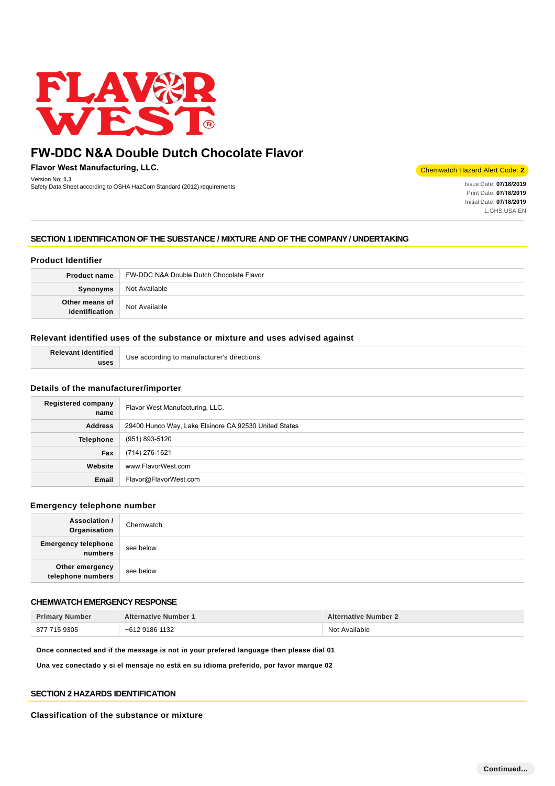

**Flavor West Manufacturing, LLC.** Version No: **1.1**

version No: 1.1<br>Safety Data Sheet according to OSHA HazCom Standard (2012) requirements International State Date: 07/18/2019 **International State Date: 07/18/2019** 

Chemwatch Hazard Alert Code: **2**

Print Date: **07/18/2019**  Initial Date: **07/18/2019**  L.GHS.USA.EN

# **SECTION 1 IDENTIFICATION OF THE SUBSTANCE / MIXTURE AND OF THE COMPANY / UNDERTAKING**

# **Product Identifier**

| <b>Product name</b>              | FW-DDC N&A Double Dutch Chocolate Flavor |
|----------------------------------|------------------------------------------|
| Synonyms                         | Not Available                            |
| Other means of<br>identification | Not Available                            |

# **Relevant identified uses of the substance or mixture and uses advised against**

| <b>Relevant identified</b> | Use according to manufacturer's directions. |
|----------------------------|---------------------------------------------|
| uses                       |                                             |

# **Details of the manufacturer/importer**

| <b>Registered company</b><br>name | Flavor West Manufacturing, LLC.                       |
|-----------------------------------|-------------------------------------------------------|
| <b>Address</b>                    | 29400 Hunco Way, Lake Elsinore CA 92530 United States |
| <b>Telephone</b>                  | (951) 893-5120                                        |
| Fax                               | (714) 276-1621                                        |
| Website                           | www.FlavorWest.com                                    |
| Email                             | Flavor@FlavorWest.com                                 |

### **Emergency telephone number**

| <b>Association /</b><br>Organisation  | Chemwatch |
|---------------------------------------|-----------|
| <b>Emergency telephone</b><br>numbers | see below |
| Other emergency<br>telephone numbers  | see below |

# **CHEMWATCH EMERGENCY RESPONSE**

| <b>Primary Number</b> | <b>Alternative Number 1</b> | <b>Alternative Number 2</b> |
|-----------------------|-----------------------------|-----------------------------|
| 877 715 9305          | +612 9186 1132              | Not Available               |

**Once connected and if the message is not in your prefered language then please dial 01**

**Una vez conectado y si el mensaje no está en su idioma preferido, por favor marque 02**

# **SECTION 2 HAZARDS IDENTIFICATION**

### **Classification of the substance or mixture**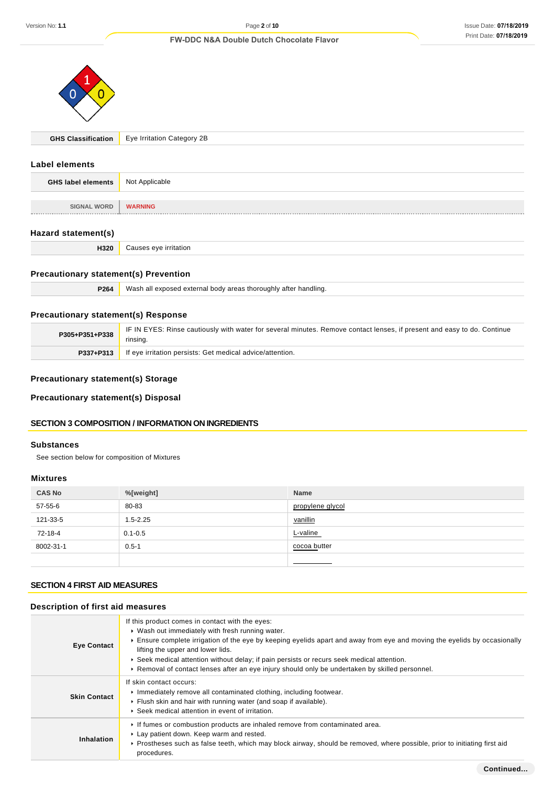

|  | <b>GHS Classification</b> Eye Irritation Category 2B |
|--|------------------------------------------------------|
|--|------------------------------------------------------|

### **Label elements**

| <b>GHS label elements</b> | Not Applicable |
|---------------------------|----------------|
|                           |                |
| <b>SIGNAL WORD</b>        | <b>WARNING</b> |
|                           |                |

# **Hazard statement(s)**

| H <sub>320</sub> | Causes eye irritation |
|------------------|-----------------------|
|------------------|-----------------------|

# **Precautionary statement(s) Prevention**

|  | <b>P264</b> Wash all exposed external body areas thoroughly after handling. |
|--|-----------------------------------------------------------------------------|
|--|-----------------------------------------------------------------------------|

# **Precautionary statement(s) Response**

| P305+P351+P338 | IF IN EYES: Rinse cautiously with water for several minutes. Remove contact lenses, if present and easy to do. Continue<br>rinsina. |
|----------------|-------------------------------------------------------------------------------------------------------------------------------------|
| P337+P313      | If eye irritation persists: Get medical advice/attention.                                                                           |

# **Precautionary statement(s) Storage**

**Precautionary statement(s) Disposal**

# **SECTION 3 COMPOSITION / INFORMATION ON INGREDIENTS**

# **Substances**

See section below for composition of Mixtures

### **Mixtures**

| <b>CAS No</b> | %[weight]    | Name             |
|---------------|--------------|------------------|
| 57-55-6       | 80-83        | propylene glycol |
| 121-33-5      | $1.5 - 2.25$ | vanillin         |
| 72-18-4       | $0.1 - 0.5$  | L-valine         |
| 8002-31-1     | $0.5 - 1$    | cocoa butter     |
|               |              |                  |

# **SECTION 4 FIRST AID MEASURES**

# **Description of first aid measures**

| <b>Eye Contact</b>  | If this product comes in contact with the eyes:<br>▶ Wash out immediately with fresh running water.<br>Ensure complete irrigation of the eye by keeping eyelids apart and away from eye and moving the eyelids by occasionally<br>lifting the upper and lower lids.<br>► Seek medical attention without delay; if pain persists or recurs seek medical attention.<br>▶ Removal of contact lenses after an eye injury should only be undertaken by skilled personnel. |
|---------------------|----------------------------------------------------------------------------------------------------------------------------------------------------------------------------------------------------------------------------------------------------------------------------------------------------------------------------------------------------------------------------------------------------------------------------------------------------------------------|
| <b>Skin Contact</b> | If skin contact occurs:<br>Immediately remove all contaminated clothing, including footwear.<br>Flush skin and hair with running water (and soap if available).<br>▶ Seek medical attention in event of irritation.                                                                                                                                                                                                                                                  |
| Inhalation          | If fumes or combustion products are inhaled remove from contaminated area.<br>Lay patient down. Keep warm and rested.<br>► Prostheses such as false teeth, which may block airway, should be removed, where possible, prior to initiating first aid<br>procedures.                                                                                                                                                                                                   |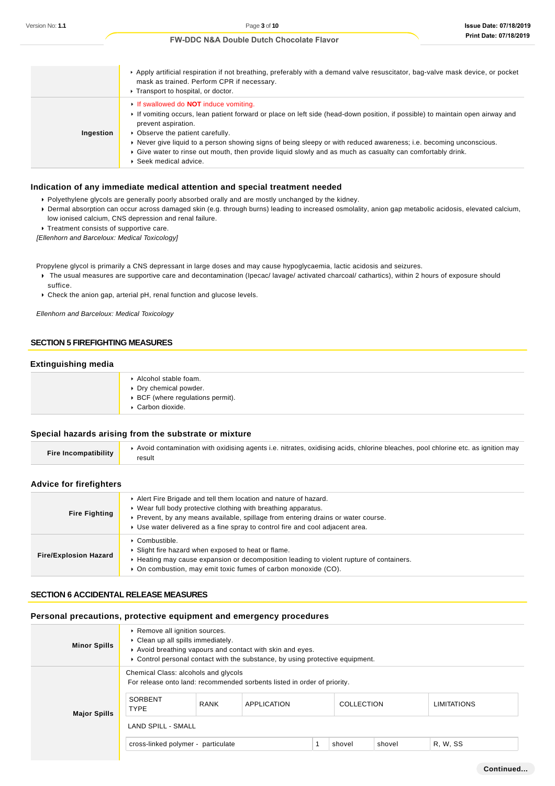|           | Apply artificial respiration if not breathing, preferably with a demand valve resuscitator, bag-valve mask device, or pocket<br>mask as trained. Perform CPR if necessary.<br>Transport to hospital, or doctor.                                                                                                                                                                                                                                                                                   |
|-----------|---------------------------------------------------------------------------------------------------------------------------------------------------------------------------------------------------------------------------------------------------------------------------------------------------------------------------------------------------------------------------------------------------------------------------------------------------------------------------------------------------|
| Ingestion | If swallowed do <b>NOT</b> induce vomiting.<br>If vomiting occurs, lean patient forward or place on left side (head-down position, if possible) to maintain open airway and<br>prevent aspiration.<br>• Observe the patient carefully.<br>▶ Never give liquid to a person showing signs of being sleepy or with reduced awareness; i.e. becoming unconscious.<br>Give water to rinse out mouth, then provide liquid slowly and as much as casualty can comfortably drink.<br>Seek medical advice. |

### **Indication of any immediate medical attention and special treatment needed**

- Polyethylene glycols are generally poorly absorbed orally and are mostly unchanged by the kidney.
- Dermal absorption can occur across damaged skin (e.g. through burns) leading to increased osmolality, anion gap metabolic acidosis, elevated calcium, low ionised calcium, CNS depression and renal failure.
- **Treatment consists of supportive care.**

[Ellenhorn and Barceloux: Medical Toxicology]

Propylene glycol is primarily a CNS depressant in large doses and may cause hypoglycaemia, lactic acidosis and seizures.

- The usual measures are supportive care and decontamination (Ipecac/ lavage/ activated charcoal/ cathartics), within 2 hours of exposure should suffice.
- Check the anion gap, arterial pH, renal function and glucose levels.

Ellenhorn and Barceloux: Medical Toxicology

### **SECTION 5 FIREFIGHTING MEASURES**

# **Extinguishing media**

| Alcohol stable foam.<br>▶ Dry chemical powder.         |
|--------------------------------------------------------|
| ▶ BCF (where regulations permit).<br>▶ Carbon dioxide. |

# **Special hazards arising from the substrate or mixture**

| <b>Fire Incompatibility</b> | Avoid contamination with oxidising agents i.e. nitrates, oxidising acids, chlorine bleaches, pool chlorine etc. as ignition may<br>result |
|-----------------------------|-------------------------------------------------------------------------------------------------------------------------------------------|
|                             |                                                                                                                                           |

# **Advice for firefighters**

| <b>Fire Fighting</b>         | Alert Fire Brigade and tell them location and nature of hazard.<br>▶ Wear full body protective clothing with breathing apparatus.<br>▶ Prevent, by any means available, spillage from entering drains or water course.<br>► Use water delivered as a fine spray to control fire and cool adjacent area. |
|------------------------------|---------------------------------------------------------------------------------------------------------------------------------------------------------------------------------------------------------------------------------------------------------------------------------------------------------|
| <b>Fire/Explosion Hazard</b> | Combustible.<br>Slight fire hazard when exposed to heat or flame.<br>► Heating may cause expansion or decomposition leading to violent rupture of containers.<br>• On combustion, may emit toxic fumes of carbon monoxide (CO).                                                                         |

#### **SECTION 6 ACCIDENTAL RELEASE MEASURES**

### **Personal precautions, protective equipment and emergency procedures**

| <b>Minor Spills</b> | Remove all ignition sources.<br>• Clean up all spills immediately.<br>Avoid breathing vapours and contact with skin and eyes.<br>► Control personal contact with the substance, by using protective equipment. |             |                                                                                                |  |                   |        |                    |
|---------------------|----------------------------------------------------------------------------------------------------------------------------------------------------------------------------------------------------------------|-------------|------------------------------------------------------------------------------------------------|--|-------------------|--------|--------------------|
| <b>Major Spills</b> | Chemical Class: alcohols and glycols<br>SORBENT<br><b>TYPE</b>                                                                                                                                                 | <b>RANK</b> | For release onto land: recommended sorbents listed in order of priority.<br><b>APPLICATION</b> |  | <b>COLLECTION</b> |        | <b>LIMITATIONS</b> |
|                     | <b>LAND SPILL - SMALL</b><br>cross-linked polymer - particulate                                                                                                                                                |             |                                                                                                |  | shovel            | shovel | <b>R. W. SS</b>    |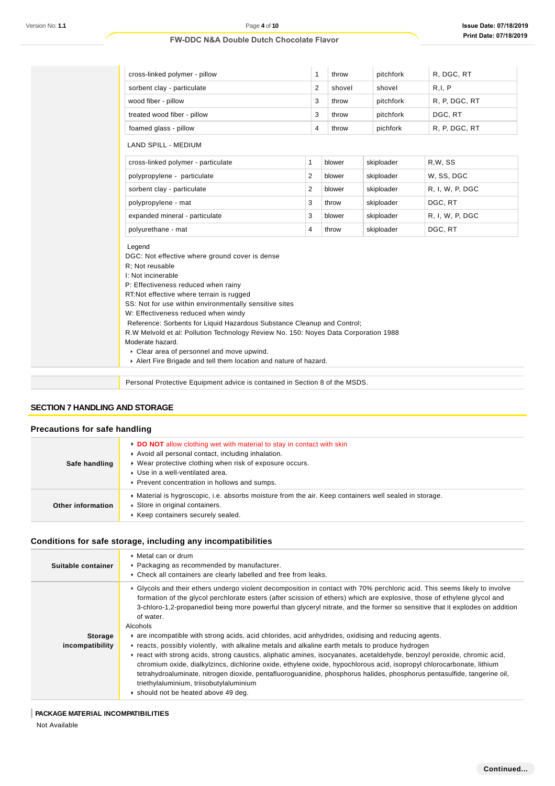| Version No: 1.1                                     | Page 4 of 10<br><b>FW-DDC N&amp;A Double Dutch Chocolate Flavor</b>                                                                                                                                                                                                                                                                                                                                                                                                                                                                                                                                                                                                                                                                                                                                                                                                                                                                                                                                                                                                                           |                         |        |            | <b>Issue Date: 07/18/2</b><br><b>Print Date: 07/18/2</b> |  |
|-----------------------------------------------------|-----------------------------------------------------------------------------------------------------------------------------------------------------------------------------------------------------------------------------------------------------------------------------------------------------------------------------------------------------------------------------------------------------------------------------------------------------------------------------------------------------------------------------------------------------------------------------------------------------------------------------------------------------------------------------------------------------------------------------------------------------------------------------------------------------------------------------------------------------------------------------------------------------------------------------------------------------------------------------------------------------------------------------------------------------------------------------------------------|-------------------------|--------|------------|----------------------------------------------------------|--|
|                                                     |                                                                                                                                                                                                                                                                                                                                                                                                                                                                                                                                                                                                                                                                                                                                                                                                                                                                                                                                                                                                                                                                                               |                         |        |            |                                                          |  |
|                                                     | cross-linked polymer - pillow                                                                                                                                                                                                                                                                                                                                                                                                                                                                                                                                                                                                                                                                                                                                                                                                                                                                                                                                                                                                                                                                 | $\mathbf{1}$            | throw  | pitchfork  | R, DGC, RT                                               |  |
|                                                     | sorbent clay - particulate                                                                                                                                                                                                                                                                                                                                                                                                                                                                                                                                                                                                                                                                                                                                                                                                                                                                                                                                                                                                                                                                    | $\overline{\mathbf{c}}$ | shovel | shovel     | R, I, P                                                  |  |
|                                                     | wood fiber - pillow                                                                                                                                                                                                                                                                                                                                                                                                                                                                                                                                                                                                                                                                                                                                                                                                                                                                                                                                                                                                                                                                           | 3                       | throw  | pitchfork  | R, P, DGC, RT                                            |  |
|                                                     | treated wood fiber - pillow                                                                                                                                                                                                                                                                                                                                                                                                                                                                                                                                                                                                                                                                                                                                                                                                                                                                                                                                                                                                                                                                   | 3                       | throw  | pitchfork  | DGC, RT                                                  |  |
|                                                     | foamed glass - pillow                                                                                                                                                                                                                                                                                                                                                                                                                                                                                                                                                                                                                                                                                                                                                                                                                                                                                                                                                                                                                                                                         | 4                       | throw  | pichfork   | R, P, DGC, RT                                            |  |
|                                                     | LAND SPILL - MEDIUM                                                                                                                                                                                                                                                                                                                                                                                                                                                                                                                                                                                                                                                                                                                                                                                                                                                                                                                                                                                                                                                                           |                         |        |            |                                                          |  |
|                                                     | cross-linked polymer - particulate                                                                                                                                                                                                                                                                                                                                                                                                                                                                                                                                                                                                                                                                                                                                                                                                                                                                                                                                                                                                                                                            | 1                       | blower | skiploader | R,W, SS                                                  |  |
|                                                     | polypropylene - particulate                                                                                                                                                                                                                                                                                                                                                                                                                                                                                                                                                                                                                                                                                                                                                                                                                                                                                                                                                                                                                                                                   | 2                       | blower | skiploader | W, SS, DGC                                               |  |
|                                                     | sorbent clay - particulate                                                                                                                                                                                                                                                                                                                                                                                                                                                                                                                                                                                                                                                                                                                                                                                                                                                                                                                                                                                                                                                                    | 2                       | blower | skiploader | R, I, W, P, DGC                                          |  |
|                                                     | polypropylene - mat                                                                                                                                                                                                                                                                                                                                                                                                                                                                                                                                                                                                                                                                                                                                                                                                                                                                                                                                                                                                                                                                           | 3                       | throw  | skiploader | DGC, RT                                                  |  |
|                                                     | expanded mineral - particulate                                                                                                                                                                                                                                                                                                                                                                                                                                                                                                                                                                                                                                                                                                                                                                                                                                                                                                                                                                                                                                                                | 3                       | blower | skiploader | R, I, W, P, DGC                                          |  |
|                                                     | polyurethane - mat                                                                                                                                                                                                                                                                                                                                                                                                                                                                                                                                                                                                                                                                                                                                                                                                                                                                                                                                                                                                                                                                            | $\overline{4}$          | throw  | skiploader | DGC, RT                                                  |  |
|                                                     | I: Not incinerable<br>P: Effectiveness reduced when rainy<br>RT Not effective where terrain is rugged<br>SS: Not for use within environmentally sensitive sites<br>W: Effectiveness reduced when windy<br>Reference: Sorbents for Liquid Hazardous Substance Cleanup and Control;<br>R.W Melvold et al: Pollution Technology Review No. 150: Noyes Data Corporation 1988<br>Moderate hazard.<br>Clear area of personnel and move upwind.<br>Alert Fire Brigade and tell them location and nature of hazard.                                                                                                                                                                                                                                                                                                                                                                                                                                                                                                                                                                                   |                         |        |            |                                                          |  |
|                                                     | Personal Protective Equipment advice is contained in Section 8 of the MSDS.                                                                                                                                                                                                                                                                                                                                                                                                                                                                                                                                                                                                                                                                                                                                                                                                                                                                                                                                                                                                                   |                         |        |            |                                                          |  |
| <b>SECTION 7 HANDLING AND STORAGE</b>               |                                                                                                                                                                                                                                                                                                                                                                                                                                                                                                                                                                                                                                                                                                                                                                                                                                                                                                                                                                                                                                                                                               |                         |        |            |                                                          |  |
| Precautions for safe handling                       |                                                                                                                                                                                                                                                                                                                                                                                                                                                                                                                                                                                                                                                                                                                                                                                                                                                                                                                                                                                                                                                                                               |                         |        |            |                                                          |  |
| Safe handling                                       | DO NOT allow clothing wet with material to stay in contact with skin<br>Avoid all personal contact, including inhalation.<br>▶ Wear protective clothing when risk of exposure occurs.<br>Use in a well-ventilated area.<br>Prevent concentration in hollows and sumps.                                                                                                                                                                                                                                                                                                                                                                                                                                                                                                                                                                                                                                                                                                                                                                                                                        |                         |        |            |                                                          |  |
| <b>Other information</b>                            | Material is hygroscopic, i.e. absorbs moisture from the air. Keep containers well sealed in storage.<br>Store in original containers.<br>▶ Keep containers securely sealed.                                                                                                                                                                                                                                                                                                                                                                                                                                                                                                                                                                                                                                                                                                                                                                                                                                                                                                                   |                         |        |            |                                                          |  |
|                                                     | Conditions for safe storage, including any incompatibilities                                                                                                                                                                                                                                                                                                                                                                                                                                                                                                                                                                                                                                                                                                                                                                                                                                                                                                                                                                                                                                  |                         |        |            |                                                          |  |
| Suitable container                                  | ▶ Metal can or drum<br>▶ Packaging as recommended by manufacturer.<br>Check all containers are clearly labelled and free from leaks.                                                                                                                                                                                                                                                                                                                                                                                                                                                                                                                                                                                                                                                                                                                                                                                                                                                                                                                                                          |                         |        |            |                                                          |  |
| <b>Storage</b><br>incompatibility                   | ▶ Glycols and their ethers undergo violent decomposition in contact with 70% perchloric acid. This seems likely to involve<br>formation of the glycol perchlorate esters (after scission of ethers) which are explosive, those of ethylene glycol and<br>3-chloro-1,2-propanediol being more powerful than glyceryl nitrate, and the former so sensitive that it explodes on addition<br>of water.<br>Alcohols<br>▶ are incompatible with strong acids, acid chlorides, acid anhydrides, oxidising and reducing agents.<br>► reacts, possibly violently, with alkaline metals and alkaline earth metals to produce hydrogen<br>▶ react with strong acids, strong caustics, aliphatic amines, isocyanates, acetaldehyde, benzoyl peroxide, chromic acid,<br>chromium oxide, dialkylzincs, dichlorine oxide, ethylene oxide, hypochlorous acid, isopropyl chlorocarbonate, lithium<br>tetrahydroaluminate, nitrogen dioxide, pentafluoroguanidine, phosphorus halides, phosphorus pentasulfide, tangerine oil,<br>triethylaluminium, triisobutylaluminium<br>Should not be heated above 49 deg. |                         |        |            |                                                          |  |
| PACKAGE MATERIAL INCOMPATIBILITIES<br>Not Available |                                                                                                                                                                                                                                                                                                                                                                                                                                                                                                                                                                                                                                                                                                                                                                                                                                                                                                                                                                                                                                                                                               |                         |        |            |                                                          |  |

# **SECTION 7 HANDLING AND STORAGE**

### **Precautions for safe handling**

| Safe handling     | • DO NOT allow clothing wet with material to stay in contact with skin<br>Avoid all personal contact, including inhalation.<br>▶ Wear protective clothing when risk of exposure occurs.<br>▶ Use in a well-ventilated area.<br>▶ Prevent concentration in hollows and sumps. |
|-------------------|------------------------------------------------------------------------------------------------------------------------------------------------------------------------------------------------------------------------------------------------------------------------------|
| Other information | • Material is hygroscopic, i.e. absorbs moisture from the air. Keep containers well sealed in storage.<br>Store in original containers.<br>Keep containers securely sealed.                                                                                                  |

# **Conditions for safe storage, including any incompatibilities**

| Suitable container                | ▶ Metal can or drum<br>• Packaging as recommended by manufacturer.<br>• Check all containers are clearly labelled and free from leaks.                                                                                                                                                                                                                                                                                                                                                                                                                                                                                                                                                                                                                                                                                                                                                                                                                                                                                                                                                     |
|-----------------------------------|--------------------------------------------------------------------------------------------------------------------------------------------------------------------------------------------------------------------------------------------------------------------------------------------------------------------------------------------------------------------------------------------------------------------------------------------------------------------------------------------------------------------------------------------------------------------------------------------------------------------------------------------------------------------------------------------------------------------------------------------------------------------------------------------------------------------------------------------------------------------------------------------------------------------------------------------------------------------------------------------------------------------------------------------------------------------------------------------|
| <b>Storage</b><br>incompatibility | ▶ Glycols and their ethers undergo violent decomposition in contact with 70% perchloric acid. This seems likely to involve<br>formation of the glycol perchlorate esters (after scission of ethers) which are explosive, those of ethylene glycol and<br>3-chloro-1,2-propanediol being more powerful than glyceryl nitrate, and the former so sensitive that it explodes on addition<br>of water.<br>Alcohols<br>are incompatible with strong acids, acid chlorides, acid anhydrides, oxidising and reducing agents.<br>reacts, possibly violently, with alkaline metals and alkaline earth metals to produce hydrogen<br>Freact with strong acids, strong caustics, aliphatic amines, isocyanates, acetaldehyde, benzoyl peroxide, chromic acid,<br>chromium oxide, dialkylzincs, dichlorine oxide, ethylene oxide, hypochlorous acid, isopropyl chlorocarbonate, lithium<br>tetrahydroaluminate, nitrogen dioxide, pentafluoroguanidine, phosphorus halides, phosphorus pentasulfide, tangerine oil,<br>triethylaluminium, triisobutylaluminium<br>▶ should not be heated above 49 deg. |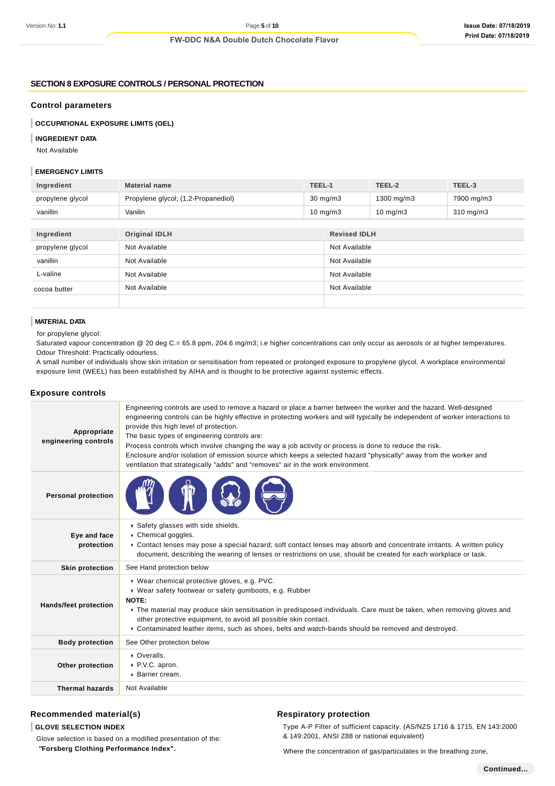### **SECTION 8 EXPOSURE CONTROLS / PERSONAL PROTECTION**

#### **Control parameters**

**OCCUPATIONAL EXPOSURE LIMITS (OEL)**

#### **INGREDIENT DATA**

Not Available

### **EMERGENCY LIMITS**

| Ingredient       | <b>Material name</b>                | TEEL-1            |                     | TEEL-2            | TEEL-3             |
|------------------|-------------------------------------|-------------------|---------------------|-------------------|--------------------|
| propylene glycol | Propylene glycol; (1,2-Propanediol) | $30 \text{ mg/m}$ |                     | 1300 mg/m3        | 7900 mg/m3         |
| vanillin         | Vanilin                             | $10 \text{ mg/m}$ |                     | $10 \text{ mg/m}$ | $310 \text{ mg/m}$ |
|                  |                                     |                   |                     |                   |                    |
| Ingredient       | <b>Original IDLH</b>                |                   | <b>Revised IDLH</b> |                   |                    |

| myrealent        | <b>UNIQUIDED</b> | REVISED IDLA  |
|------------------|------------------|---------------|
| propylene glycol | Not Available    | Not Available |
| vanillin         | Not Available    | Not Available |
| L-valine         | Not Available    | Not Available |
| cocoa butter     | Not Available    | Not Available |
|                  |                  |               |

### **MATERIAL DATA**

for propylene glycol:

Saturated vapour concentration @ 20 deg C.= 65.8 ppm, 204.6 mg/m3; i.e higher concentrations can only occur as aerosols or at higher temperatures. Odour Threshold: Practically odourless.

A small number of individuals show skin irritation or sensitisation from repeated or prolonged exposure to propylene glycol. A workplace environmental exposure limit (WEEL) has been established by AIHA and is thought to be protective against systemic effects.

### **Exposure controls**

| Appropriate<br>engineering controls | Engineering controls are used to remove a hazard or place a barrier between the worker and the hazard. Well-designed<br>engineering controls can be highly effective in protecting workers and will typically be independent of worker interactions to<br>provide this high level of protection.<br>The basic types of engineering controls are:<br>Process controls which involve changing the way a job activity or process is done to reduce the risk.<br>Enclosure and/or isolation of emission source which keeps a selected hazard "physically" away from the worker and<br>ventilation that strategically "adds" and "removes" air in the work environment. |
|-------------------------------------|--------------------------------------------------------------------------------------------------------------------------------------------------------------------------------------------------------------------------------------------------------------------------------------------------------------------------------------------------------------------------------------------------------------------------------------------------------------------------------------------------------------------------------------------------------------------------------------------------------------------------------------------------------------------|
| <b>Personal protection</b>          |                                                                                                                                                                                                                                                                                                                                                                                                                                                                                                                                                                                                                                                                    |
| Eye and face<br>protection          | Safety glasses with side shields.<br>Chemical goggles.<br>▶ Contact lenses may pose a special hazard; soft contact lenses may absorb and concentrate irritants. A written policy<br>document, describing the wearing of lenses or restrictions on use, should be created for each workplace or task.                                                                                                                                                                                                                                                                                                                                                               |
| <b>Skin protection</b>              | See Hand protection below                                                                                                                                                                                                                                                                                                                                                                                                                                                                                                                                                                                                                                          |
| <b>Hands/feet protection</b>        | ▶ Wear chemical protective gloves, e.g. PVC.<br>▶ Wear safety footwear or safety gumboots, e.g. Rubber<br>NOTE:<br>The material may produce skin sensitisation in predisposed individuals. Care must be taken, when removing gloves and<br>other protective equipment, to avoid all possible skin contact.<br>▶ Contaminated leather items, such as shoes, belts and watch-bands should be removed and destroyed.                                                                                                                                                                                                                                                  |
| <b>Body protection</b>              | See Other protection below                                                                                                                                                                                                                                                                                                                                                                                                                                                                                                                                                                                                                                         |
| Other protection                    | • Overalls.<br>▶ P.V.C. apron.<br>▶ Barrier cream.                                                                                                                                                                                                                                                                                                                                                                                                                                                                                                                                                                                                                 |
| <b>Thermal hazards</b>              | Not Available                                                                                                                                                                                                                                                                                                                                                                                                                                                                                                                                                                                                                                                      |

### **Recommended material(s)**

**GLOVE SELECTION INDEX**

Glove selection is based on a modified presentation of the:  **"Forsberg Clothing Performance Index".**

### **Respiratory protection**

Type A-P Filter of sufficient capacity. (AS/NZS 1716 & 1715, EN 143:2000 & 149:2001, ANSI Z88 or national equivalent)

Where the concentration of gas/particulates in the breathing zone,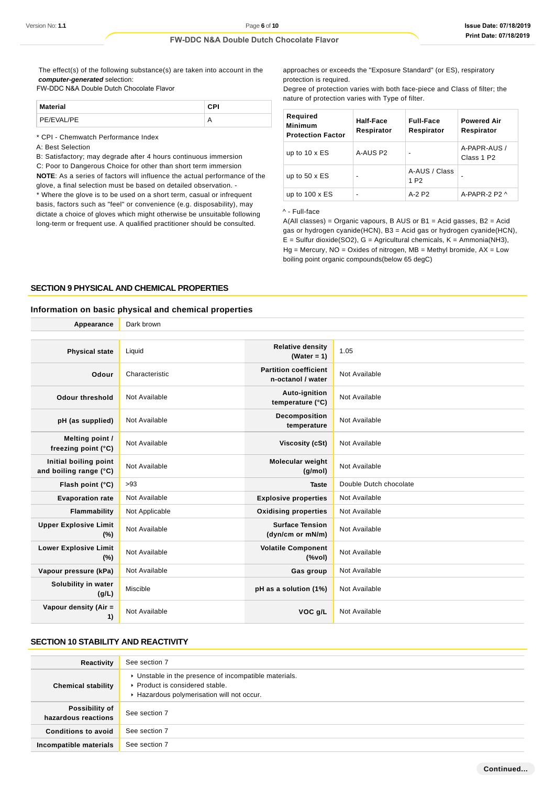The effect(s) of the following substance(s) are taken into account in the **computer-generated** selection:

FW-DDC N&A Double Dutch Chocolate Flavor

| <b>Material</b> | CPI |
|-----------------|-----|
| PE/EVAL/PE      |     |

\* CPI - Chemwatch Performance Index

A: Best Selection

B: Satisfactory; may degrade after 4 hours continuous immersion C: Poor to Dangerous Choice for other than short term immersion **NOTE**: As a series of factors will influence the actual performance of the glove, a final selection must be based on detailed observation. -

\* Where the glove is to be used on a short term, casual or infrequent basis, factors such as "feel" or convenience (e.g. disposability), may dictate a choice of gloves which might otherwise be unsuitable following long-term or frequent use. A qualified practitioner should be consulted.

approaches or exceeds the "Exposure Standard" (or ES), respiratory protection is required.

Degree of protection varies with both face-piece and Class of filter; the nature of protection varies with Type of filter.

| Required<br><b>Minimum</b><br><b>Protection Factor</b> | Half-Face<br>Respirator  | <b>Full-Face</b><br>Respirator    | <b>Powered Air</b><br>Respirator       |
|--------------------------------------------------------|--------------------------|-----------------------------------|----------------------------------------|
| up to $10 \times ES$                                   | A-AUS P2                 | $\blacksquare$                    | A-PAPR-AUS /<br>Class 1 P <sub>2</sub> |
| up to $50 \times ES$                                   | $\overline{\phantom{0}}$ | A-AUS / Class<br>1 P <sub>2</sub> |                                        |
| up to $100 \times ES$                                  | $\overline{\phantom{0}}$ | $A-2$ P <sub>2</sub>              | A-PAPR-2 P2 $\land$                    |

#### ^ - Full-face

 $A(All classes) = Organic vapours, B AUS or B1 = Acid gases, B2 = Acid$ gas or hydrogen cyanide(HCN), B3 = Acid gas or hydrogen cyanide(HCN),  $E =$  Sulfur dioxide(SO2),  $G =$  Agricultural chemicals,  $K =$  Ammonia(NH3),  $Hg =$  Mercury, NO = Oxides of nitrogen, MB = Methyl bromide, AX = Low boiling point organic compounds(below 65 degC)

#### **SECTION 9 PHYSICAL AND CHEMICAL PROPERTIES**

# **Information on basic physical and chemical properties**

| Appearance                                      | Dark brown     |                                                    |                        |
|-------------------------------------------------|----------------|----------------------------------------------------|------------------------|
|                                                 |                |                                                    |                        |
| <b>Physical state</b>                           | Liquid         | <b>Relative density</b><br>(Water = $1$ )          | 1.05                   |
| Odour                                           | Characteristic | <b>Partition coefficient</b><br>n-octanol / water  | Not Available          |
| <b>Odour threshold</b>                          | Not Available  | Auto-ignition<br>temperature (°C)                  | Not Available          |
| pH (as supplied)                                | Not Available  | Decomposition<br>temperature                       | Not Available          |
| Melting point /<br>freezing point (°C)          | Not Available  | Viscosity (cSt)                                    | Not Available          |
| Initial boiling point<br>and boiling range (°C) | Not Available  | <b>Molecular weight</b><br>(q/mol)                 | Not Available          |
| Flash point (°C)                                | $>93$          | <b>Taste</b>                                       | Double Dutch chocolate |
| <b>Evaporation rate</b>                         | Not Available  | <b>Explosive properties</b>                        | Not Available          |
| Flammability                                    | Not Applicable | <b>Oxidising properties</b>                        | Not Available          |
| <b>Upper Explosive Limit</b><br>(%)             | Not Available  | <b>Surface Tension</b><br>(dyn/cm or mN/m)         | Not Available          |
| <b>Lower Explosive Limit</b><br>(%)             | Not Available  | <b>Volatile Component</b><br>$(% \mathcal{L}_{0})$ | Not Available          |
| Vapour pressure (kPa)                           | Not Available  | Gas group                                          | Not Available          |
| Solubility in water<br>(g/L)                    | Miscible       | pH as a solution (1%)                              | Not Available          |
| Vapour density (Air =<br>1)                     | Not Available  | VOC g/L                                            | Not Available          |

### **SECTION 10 STABILITY AND REACTIVITY**

| Reactivity                                   | See section 7                                                                                                                        |
|----------------------------------------------|--------------------------------------------------------------------------------------------------------------------------------------|
| <b>Chemical stability</b>                    | • Unstable in the presence of incompatible materials.<br>▶ Product is considered stable.<br>Hazardous polymerisation will not occur. |
| <b>Possibility of</b><br>hazardous reactions | See section 7                                                                                                                        |
| <b>Conditions to avoid</b>                   | See section 7                                                                                                                        |
| Incompatible materials                       | See section 7                                                                                                                        |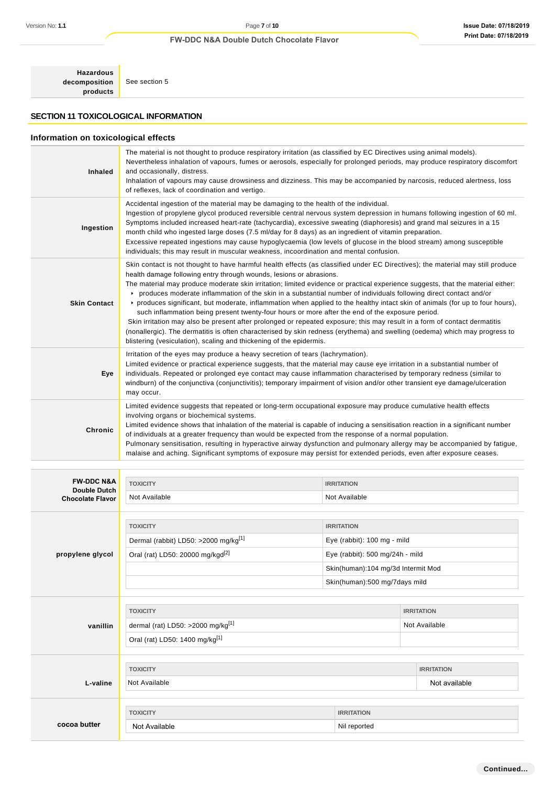**Hazardous decomposition products**

See section 5

# **SECTION 11 TOXICOLOGICAL INFORMATION**

# **Information on toxicological effects**

| <b>Inhaled</b>      | The material is not thought to produce respiratory irritation (as classified by EC Directives using animal models).<br>Nevertheless inhalation of vapours, fumes or aerosols, especially for prolonged periods, may produce respiratory discomfort<br>and occasionally, distress.<br>Inhalation of vapours may cause drowsiness and dizziness. This may be accompanied by narcosis, reduced alertness, loss<br>of reflexes, lack of coordination and vertigo.                                                                                                                                                                                                                                                                                                                                                                                                                                                                                                                                                                        |
|---------------------|--------------------------------------------------------------------------------------------------------------------------------------------------------------------------------------------------------------------------------------------------------------------------------------------------------------------------------------------------------------------------------------------------------------------------------------------------------------------------------------------------------------------------------------------------------------------------------------------------------------------------------------------------------------------------------------------------------------------------------------------------------------------------------------------------------------------------------------------------------------------------------------------------------------------------------------------------------------------------------------------------------------------------------------|
| Ingestion           | Accidental ingestion of the material may be damaging to the health of the individual.<br>Ingestion of propylene glycol produced reversible central nervous system depression in humans following ingestion of 60 ml.<br>Symptoms included increased heart-rate (tachycardia), excessive sweating (diaphoresis) and grand mal seizures in a 15<br>month child who ingested large doses (7.5 ml/day for 8 days) as an ingredient of vitamin preparation.<br>Excessive repeated ingestions may cause hypoglycaemia (low levels of glucose in the blood stream) among susceptible<br>individuals; this may result in muscular weakness, incoordination and mental confusion.                                                                                                                                                                                                                                                                                                                                                             |
| <b>Skin Contact</b> | Skin contact is not thought to have harmful health effects (as classified under EC Directives); the material may still produce<br>health damage following entry through wounds, lesions or abrasions.<br>The material may produce moderate skin irritation; limited evidence or practical experience suggests, that the material either:<br>produces moderate inflammation of the skin in a substantial number of individuals following direct contact and/or<br>▶ produces significant, but moderate, inflammation when applied to the healthy intact skin of animals (for up to four hours),<br>such inflammation being present twenty-four hours or more after the end of the exposure period.<br>Skin irritation may also be present after prolonged or repeated exposure; this may result in a form of contact dermatitis<br>(nonallergic). The dermatitis is often characterised by skin redness (erythema) and swelling (oedema) which may progress to<br>blistering (vesiculation), scaling and thickening of the epidermis. |
| Eye                 | Irritation of the eyes may produce a heavy secretion of tears (lachrymation).<br>Limited evidence or practical experience suggests, that the material may cause eye irritation in a substantial number of<br>individuals. Repeated or prolonged eye contact may cause inflammation characterised by temporary redness (similar to<br>windburn) of the conjunctiva (conjunctivitis); temporary impairment of vision and/or other transient eye damage/ulceration<br>may occur.                                                                                                                                                                                                                                                                                                                                                                                                                                                                                                                                                        |
| Chronic             | Limited evidence suggests that repeated or long-term occupational exposure may produce cumulative health effects<br>involving organs or biochemical systems.<br>Limited evidence shows that inhalation of the material is capable of inducing a sensitisation reaction in a significant number<br>of individuals at a greater frequency than would be expected from the response of a normal population.<br>Pulmonary sensitisation, resulting in hyperactive airway dysfunction and pulmonary allergy may be accompanied by fatigue,<br>malaise and aching. Significant symptoms of exposure may persist for extended periods, even after exposure ceases.                                                                                                                                                                                                                                                                                                                                                                          |

| <b>FW-DDC N&amp;A</b>                   | <b>TOXICITY</b>                                  | <b>IRRITATION</b>                  |                               |                   |
|-----------------------------------------|--------------------------------------------------|------------------------------------|-------------------------------|-------------------|
| Double Dutch<br><b>Chocolate Flavor</b> | Not Available                                    | Not Available                      |                               |                   |
|                                         |                                                  |                                    |                               |                   |
|                                         | <b>TOXICITY</b>                                  | <b>IRRITATION</b>                  |                               |                   |
|                                         | Dermal (rabbit) LD50: >2000 mg/kg <sup>[1]</sup> | Eye (rabbit): 100 mg - mild        |                               |                   |
| propylene glycol                        | Oral (rat) LD50: 20000 mg/kgd <sup>[2]</sup>     | Eye (rabbit): 500 mg/24h - mild    |                               |                   |
|                                         |                                                  | Skin(human):104 mg/3d Intermit Mod |                               |                   |
|                                         |                                                  |                                    | Skin(human):500 mg/7days mild |                   |
|                                         |                                                  |                                    |                               |                   |
|                                         | <b>TOXICITY</b>                                  |                                    |                               | <b>IRRITATION</b> |
| vanillin                                | dermal (rat) LD50: >2000 mg/kg <sup>[1]</sup>    |                                    |                               | Not Available     |
|                                         | Oral (rat) LD50: 1400 mg/kg <sup>[1]</sup>       |                                    |                               |                   |
|                                         |                                                  |                                    |                               |                   |
|                                         | <b>TOXICITY</b>                                  |                                    |                               | <b>IRRITATION</b> |
| L-valine                                | Not Available                                    |                                    |                               | Not available     |
|                                         |                                                  |                                    |                               |                   |
|                                         | <b>TOXICITY</b>                                  | <b>IRRITATION</b>                  |                               |                   |
| cocoa butter                            | Not Available                                    | Nil reported                       |                               |                   |
|                                         |                                                  |                                    |                               |                   |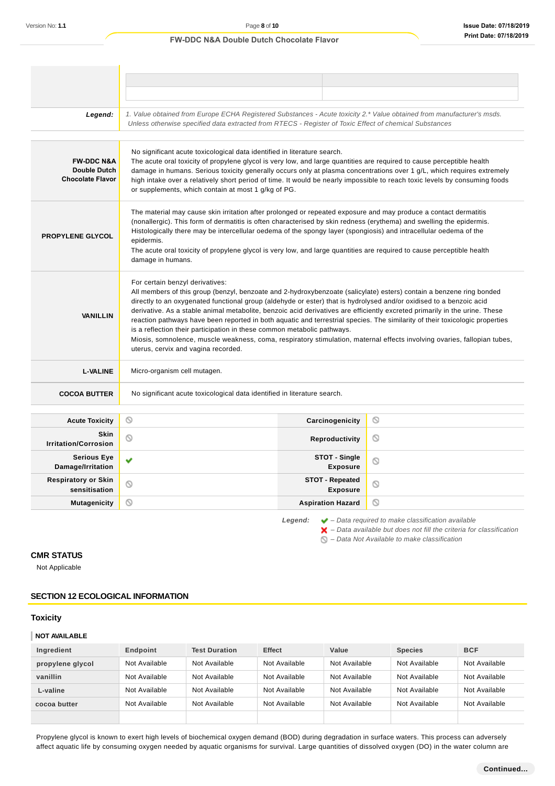### Legend: 1. Value obtained from Europe ECHA Registered Substances - Acute toxicity 2.\* Value obtained from manufacturer's msds. Unless otherwise specified data extracted from RTECS - Register of Toxic Effect of chemical Substances No significant acute toxicological data identified in literature search. **FW-DDC N&A** The acute oral toxicity of propylene glycol is very low, and large quantities are required to cause perceptible health **Double Dutch** damage in humans. Serious toxicity generally occurs only at plasma concentrations over 1 g/L, which requires extremely **Chocolate Flavor** high intake over a relatively short period of time. It would be nearly impossible to reach toxic levels by consuming foods or supplements, which contain at most 1 g/kg of PG. The material may cause skin irritation after prolonged or repeated exposure and may produce a contact dermatitis (nonallergic). This form of dermatitis is often characterised by skin redness (erythema) and swelling the epidermis. Histologically there may be intercellular oedema of the spongy layer (spongiosis) and intracellular oedema of the **PROPYLENE GLYCOL** epidermis. The acute oral toxicity of propylene glycol is very low, and large quantities are required to cause perceptible health damage in humans. For certain benzyl derivatives: All members of this group (benzyl, benzoate and 2-hydroxybenzoate (salicylate) esters) contain a benzene ring bonded directly to an oxygenated functional group (aldehyde or ester) that is hydrolysed and/or oxidised to a benzoic acid derivative. As a stable animal metabolite, benzoic acid derivatives are efficiently excreted primarily in the urine. These **VANILLIN** reaction pathways have been reported in both aquatic and terrestrial species. The similarity of their toxicologic properties is a reflection their participation in these common metabolic pathways. Miosis, somnolence, muscle weakness, coma, respiratory stimulation, maternal effects involving ovaries, fallopian tubes, uterus, cervix and vagina recorded. **L-VALINE** Micro-organism cell mutagen. **COCOA BUTTER** No significant acute toxicological data identified in literature search. **Acute Toxicity Carcinogenicity**  $\circ$ **Skin I**rritation/Corrosion **Community Reproductivity**  $\circ$ **Serious Eye STOT - Single** Ÿ  $\circ$ **Damage/Irritation Exposure Respiratory or Skin STOT - Repeated**  $\circ$  $\circlearrowright$ **sensitisation Exposure Mutagenicity CONSISTENT CONSISTENT ASPIRATION HAZARDIA**  $\circ$

**Legend:** – Data required to make classification available

 $\blacktriangleright$  – Data available but does not fill the criteria for classification

 $\bigcirc$  – Data Not Available to make classification

# **CMR STATUS**

Not Applicable

# **SECTION 12 ECOLOGICAL INFORMATION**

#### **Toxicity**

#### **NOT AVAILABLE**

| Ingredient       | Endpoint      | <b>Test Duration</b> | <b>Effect</b> | Value         | <b>Species</b> | <b>BCF</b>    |
|------------------|---------------|----------------------|---------------|---------------|----------------|---------------|
| propylene glycol | Not Available | Not Available        | Not Available | Not Available | Not Available  | Not Available |
| vanillin         | Not Available | Not Available        | Not Available | Not Available | Not Available  | Not Available |
| L-valine         | Not Available | Not Available        | Not Available | Not Available | Not Available  | Not Available |
| cocoa butter     | Not Available | Not Available        | Not Available | Not Available | Not Available  | Not Available |
|                  |               |                      |               |               |                |               |

Propylene glycol is known to exert high levels of biochemical oxygen demand (BOD) during degradation in surface waters. This process can adversely affect aquatic life by consuming oxygen needed by aquatic organisms for survival. Large quantities of dissolved oxygen (DO) in the water column are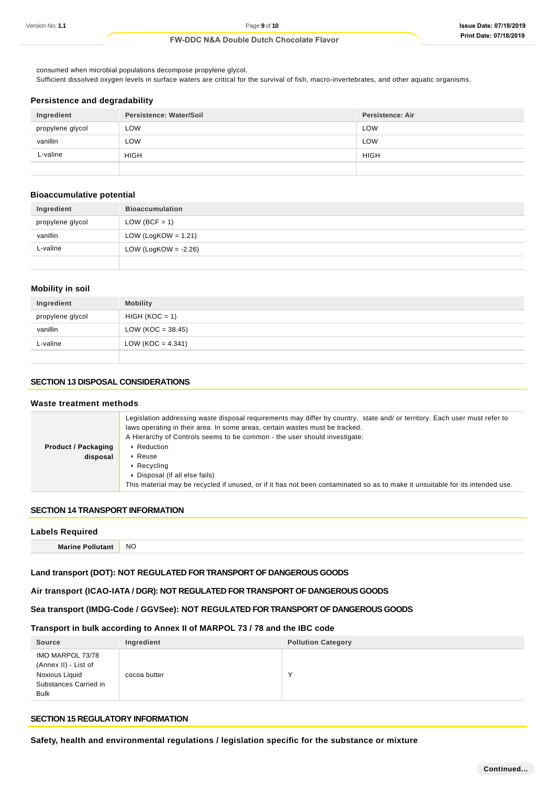consumed when microbial populations decompose propylene glycol. Sufficient dissolved oxygen levels in surface waters are critical for the survival of fish, macro-invertebrates, and other aquatic organisms.

### **Persistence and degradability**

| Ingredient       | Persistence: Water/Soil | Persistence: Air |
|------------------|-------------------------|------------------|
| propylene glycol | LOW                     | <b>LOW</b>       |
| vanillin         | LOW                     | LOW              |
| L-valine         | <b>HIGH</b>             | <b>HIGH</b>      |
|                  |                         |                  |

# **Bioaccumulative potential**

| Ingredient       | <b>Bioaccumulation</b>  |
|------------------|-------------------------|
| propylene glycol | $LOW (BCF = 1)$         |
| vanillin         | LOW (LogKOW = $1.21$ )  |
| L-valine         | LOW (LogKOW = $-2.26$ ) |
|                  |                         |

# **Mobility in soil**

| Ingredient       | <b>Mobility</b>      |
|------------------|----------------------|
| propylene glycol | $HIGH (KOC = 1)$     |
| vanillin         | $LOW (KOC = 38.45)$  |
| L-valine         | LOW (KOC = $4.341$ ) |
|                  |                      |

# **SECTION 13 DISPOSAL CONSIDERATIONS**

#### **Waste treatment methods Product / Packaging disposal** Legislation addressing waste disposal requirements may differ by country, state and/ or territory. Each user must refer to laws operating in their area. In some areas, certain wastes must be tracked. A Hierarchy of Controls seems to be common - the user should investigate: **Reduction** ▶ Reuse ▶ Recycling Disposal (if all else fails) This material may be recycled if unused, or if it has not been contaminated so as to make it unsuitable for its intended use.

# **SECTION 14 TRANSPORT INFORMATION**

| <b>Labels Required</b>  |           |
|-------------------------|-----------|
| <b>Marine Pollutant</b> | <b>NO</b> |

# **Land transport (DOT): NOT REGULATED FOR TRANSPORT OF DANGEROUS GOODS**

### **Air transport (ICAO-IATA / DGR): NOT REGULATED FOR TRANSPORT OF DANGEROUS GOODS**

# **Sea transport (IMDG-Code / GGVSee): NOT REGULATED FOR TRANSPORT OF DANGEROUS GOODS**

### **Transport in bulk according to Annex II of MARPOL 73 / 78 and the IBC code**

| <b>Source</b>                                                                                      | Ingredient   | <b>Pollution Category</b> |
|----------------------------------------------------------------------------------------------------|--------------|---------------------------|
| IMO MARPOL 73/78<br>(Annex II) - List of<br>Noxious Liquid<br>Substances Carried in<br><b>Bulk</b> | cocoa butter |                           |

# **SECTION 15 REGULATORY INFORMATION**

**Safety, health and environmental regulations / legislation specific for the substance or mixture**